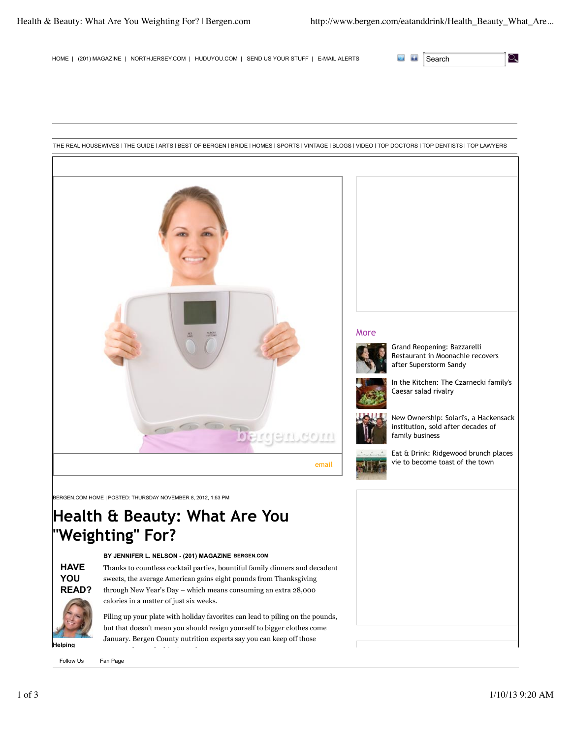୍କ

HOME | (201) MAGAZINE | NORTHJERSEY.COM | HUDUYOU.COM | SEND US YOUR STUFF | E-MAIL ALERTS SEARCH



Fan Page

## 1 of 3 1/10/13 9:20 AM

**Helping Hallow** Lis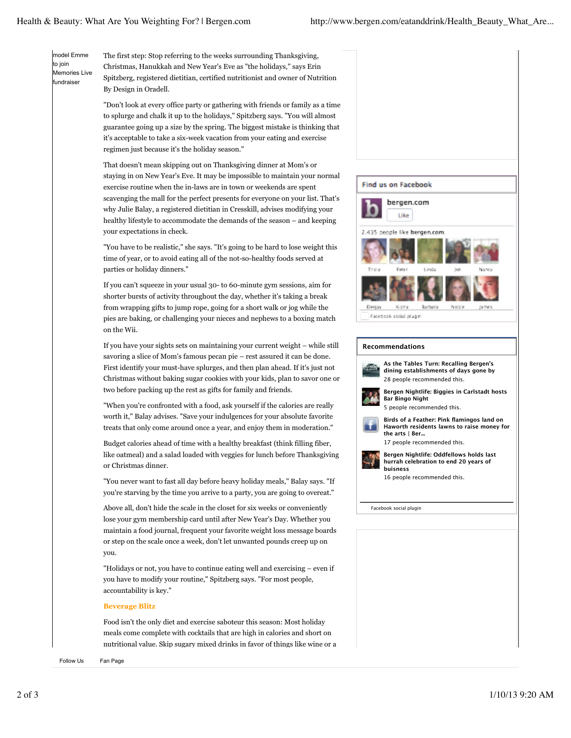model Emme to join Memories Live fundraiser

The first step: Stop referring to the weeks surrounding Thanksgiving, Christmas, Hanukkah and New Year's Eve as "the holidays," says Erin Spitzberg, registered dietitian, certified nutritionist and owner of Nutrition By Design in Oradell.

"Don't look at every office party or gathering with friends or family as a time to splurge and chalk it up to the holidays," Spitzberg says. "You will almost guarantee going up a size by the spring. The biggest mistake is thinking that it's acceptable to take a six-week vacation from your eating and exercise regimen just because it's the holiday season."

That doesn't mean skipping out on Thanksgiving dinner at Mom's or staying in on New Year's Eve. It may be impossible to maintain your normal exercise routine when the in-laws are in town or weekends are spent scavenging the mall for the perfect presents for everyone on your list. That's why Julie Balay, a registered dietitian in Cresskill, advises modifying your healthy lifestyle to accommodate the demands of the season – and keeping your expectations in check.

"You have to be realistic," she says. "It's going to be hard to lose weight this time of year, or to avoid eating all of the not-so-healthy foods served at parties or holiday dinners."

If you can't squeeze in your usual 30- to 60-minute gym sessions, aim for shorter bursts of activity throughout the day, whether it's taking a break from wrapping gifts to jump rope, going for a short walk or jog while the pies are baking, or challenging your nieces and nephews to a boxing match on the Wii.

If you have your sights sets on maintaining your current weight – while still savoring a slice of Mom's famous pecan pie – rest assured it can be done. First identify your must-have splurges, and then plan ahead. If it's just not Christmas without baking sugar cookies with your kids, plan to savor one or two before packing up the rest as gifts for family and friends.

"When you're confronted with a food, ask yourself if the calories are really worth it," Balay advises. "Save your indulgences for your absolute favorite treats that only come around once a year, and enjoy them in moderation."

Budget calories ahead of time with a healthy breakfast (think filling fiber, like oatmeal) and a salad loaded with veggies for lunch before Thanksgiving or Christmas dinner.

"You never want to fast all day before heavy holiday meals," Balay says. "If you're starving by the time you arrive to a party, you are going to overeat."

Above all, don't hide the scale in the closet for six weeks or conveniently lose your gym membership card until after New Year's Day. Whether you maintain a food journal, frequent your favorite weight loss message boards or step on the scale once a week, don't let unwanted pounds creep up on you.

"Holidays or not, you have to continue eating well and exercising – even if you have to modify your routine," Spitzberg says. "For most people, accountability is key."

## **Beverage Blitz**

Food isn't the only diet and exercise saboteur this season: Most holiday meals come complete with cocktails that are high in calories and short on nutritional value. Skip sugary mixed drinks in favor of things like wine or a

rum and diet comes and alternate alternate alternate alcoholic beverages with water or seltzer to Follow Us Fa<br>Follow Us Fan Page